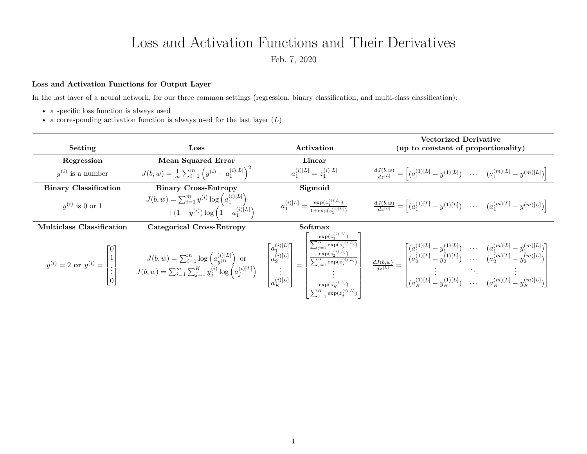## Loss and Activation Functions and Their Derivatives

Feb. 7, 2020

## **Loss and Activation Functions for Output Layer**

In the last layer of a neural network, for our three common settings (regression, binary classification, and multi-class classification):

- a specific loss function is always used
- a corresponding activation function is always used for the last layer (*L*)

| Setting                          | Loss                                                                                         | Activation                                                       | Vectorized Derivative<br>(up to constant of proportionality)                                                                                                                                                                                                                                                                                                                                                                                     |
|----------------------------------|----------------------------------------------------------------------------------------------|------------------------------------------------------------------|--------------------------------------------------------------------------------------------------------------------------------------------------------------------------------------------------------------------------------------------------------------------------------------------------------------------------------------------------------------------------------------------------------------------------------------------------|
| Regression                       | Mean Squared Error                                                                           | Linear                                                           |                                                                                                                                                                                                                                                                                                                                                                                                                                                  |
| $y^{(i)}$ is a number            | $J(b, w) = \frac{1}{m} \sum_{i=1}^{m} (y^{(i)} - a_1^{(i)[L]})^2$                            | $a_1^{(i)[L]} = z_1^{(i)[L]}$                                    | $\frac{dJ(b,w)}{dz^{[L]}} = \left[ (a_1^{(1)[L]} - y^{(1)[L]}) \quad \cdots \quad (a_1^{(m)[L]} - y^{(m)[L]}) \right]$                                                                                                                                                                                                                                                                                                                           |
| <b>Binary Classification</b>     | <b>Binary Cross-Entropy</b>                                                                  | Sigmoid                                                          |                                                                                                                                                                                                                                                                                                                                                                                                                                                  |
| $y^{(i)}$ is 0 or 1              | $J(b, w) = \sum_{i=1}^{m} y^{(i)} \log (a_1^{(i)[L]})$<br>$+(1-y^{(i)})\log(1-a_1^{(i)[L]})$ | $a_1^{(i)[L]} = \frac{\exp(z_1^{(i)[L]})}{1+\exp(z_1^{(i)[L]})}$ | $\frac{dJ(b,w)}{dz^{[L]}} = \left[ (a_1^{(1)[L]} - y^{(1)[L]}) \quad \cdots \quad (a_1^{(m)[L]} - y^{(m)[L]}) \right]$                                                                                                                                                                                                                                                                                                                           |
| <b>Multiclass Classification</b> | <b>Categorical Cross-Entropy</b>                                                             | Softmax                                                          |                                                                                                                                                                                                                                                                                                                                                                                                                                                  |
|                                  |                                                                                              |                                                                  | $y^{(i)}=2 \text{ or } y^{(i)}= \begin{bmatrix} 0 \\ 1 \\ \vdots \\ 0 \end{bmatrix} \qquad \qquad J(b,w)=\sum_{i=1}^m \log \left(a^{(i)[L]}_{y^{(i)}}\right) \text{ or } \qquad \qquad \left[\begin{matrix} a^{(i)[L]}_{1} \\ a^{(i)[L]}_{2} \\ \vdots \\ a^{(i)[L]}_{K} \end{matrix}\right] \nonumber \\ = \begin{bmatrix} a^{(i)[L]}_{2} \\ \dfrac{a^{(i)[L]}_{2}}{\sum_{j=1}^m \exp(z^{(j)[L]})} \\ \vdots \\ a^{(i)[L]}_{K} \end{bmatrix} =$ |